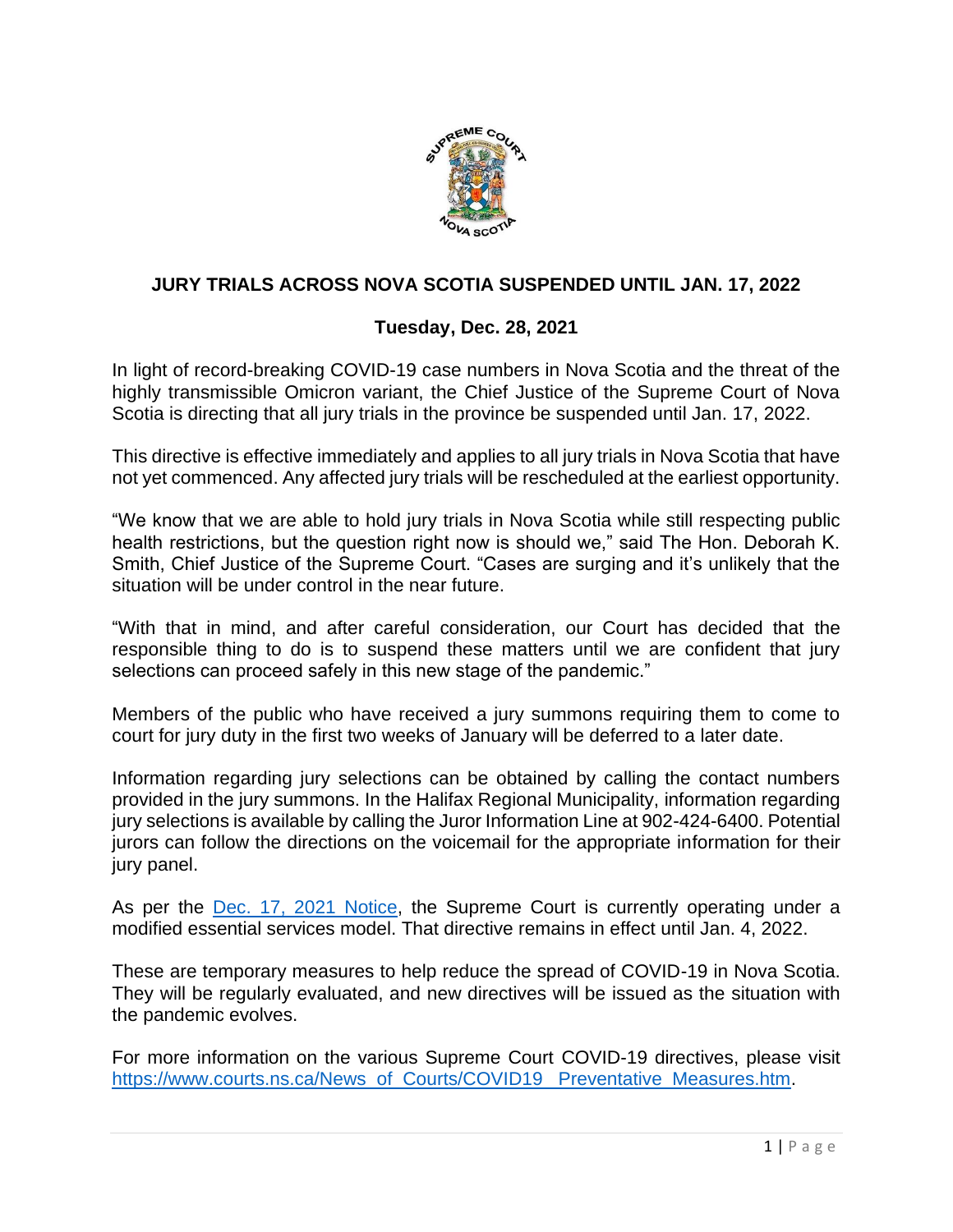

## **JURY TRIALS ACROSS NOVA SCOTIA SUSPENDED UNTIL JAN. 17, 2022**

## **Tuesday, Dec. 28, 2021**

In light of record-breaking COVID-19 case numbers in Nova Scotia and the threat of the highly transmissible Omicron variant, the Chief Justice of the Supreme Court of Nova Scotia is directing that all jury trials in the province be suspended until Jan. 17, 2022.

This directive is effective immediately and applies to all jury trials in Nova Scotia that have not yet commenced. Any affected jury trials will be rescheduled at the earliest opportunity.

"We know that we are able to hold jury trials in Nova Scotia while still respecting public health restrictions, but the question right now is should we," said The Hon. Deborah K. Smith, Chief Justice of the Supreme Court. "Cases are surging and it's unlikely that the situation will be under control in the near future.

"With that in mind, and after careful consideration, our Court has decided that the responsible thing to do is to suspend these matters until we are confident that jury selections can proceed safely in this new stage of the pandemic."

Members of the public who have received a jury summons requiring them to come to court for jury duty in the first two weeks of January will be deferred to a later date.

Information regarding jury selections can be obtained by calling the contact numbers provided in the jury summons. In the Halifax Regional Municipality, information regarding jury selections is available by calling the Juror Information Line at 902-424-6400. Potential jurors can follow the directions on the voicemail for the appropriate information for their jury panel.

As per the [Dec. 17, 2021 Notice,](https://www.courts.ns.ca/documents/NSSC_Modified_Essential_Services_Model_12_17_21.pdf) the Supreme Court is currently operating under a modified essential services model. That directive remains in effect until Jan. 4, 2022.

These are temporary measures to help reduce the spread of COVID-19 in Nova Scotia. They will be regularly evaluated, and new directives will be issued as the situation with the pandemic evolves.

For more information on the various Supreme Court COVID-19 directives, please visit [https://www.courts.ns.ca/News\\_of\\_Courts/COVID19\\_ Preventative\\_Measures.htm.](https://www.courts.ns.ca/News_of_Courts/COVID19_%20Preventative_Measures.htm)